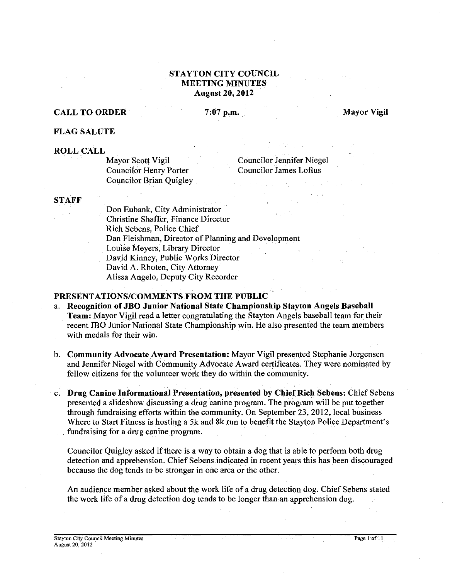# **STAYTON CITY COUNCIL MEETING MINUTES August 20,2012**

# **CALL TO ORDER** 7:07 p.m. Mayor Vigil

**FLAG SALUTE** 

**ROLL CALL**  Councilor Henry Porter Councilor James Loftus Councilor Brian Quigley

Councilor Jennifer Niegel

#### **STAFF**

Don Eubank, City Administrator Christine Shaffer, Finance Director Rich Sebens, Police Chief Dan Fleishman, Director of Planning and Development Louise Meyers, Library Director David Kinney, Public Works Director David A. Rhoten, City Attorney Alissa Angelo, Deputy City Recorder

# **PRESENTATIONSICOMMENTS FROM THE PUBLIC**

- a. **Recognition of JBO Junior National State Championship Stayton Angels Baseball Team:** Mayor Vigil read a letter congratulating the Stayton Angels baseball team for their recent **JBO** Junior National State Championship win. He also presented the team members with medals for their win.
- b. **Community Advocate Award Presentation:** Mayor Vigil presented Stephanie Jorgensen and Jennifer Niegel with Community Advocate Award certificates. They were nominated by fellow citizens for the volunteer work they do within the community.
- *c.* **Drug Canine Informational Presentation, presented by Chief Rich Sebens:** Chief Sebens presented a slideshow discussing a drug canine program. The program will be put together through fundraising efforts within the community. On September 23,2012, local business Where to Start Fitness is hosting a 5k and **8k** run to benefit the Stayton Police Department's fundraising for a drug canine program.

Councilor Quigley asked if there is a way to obtain a dog that is able to perform both drug detection and apprehension. Chief Sebens indicated in recent years this has been discouraged because the dog tends to be stronger in one area or the other.

An audience member asked about the work life of a drug detection dog. Chief Sebens stated the work life of a drug detection dog tends to be longer than an apprehension dog.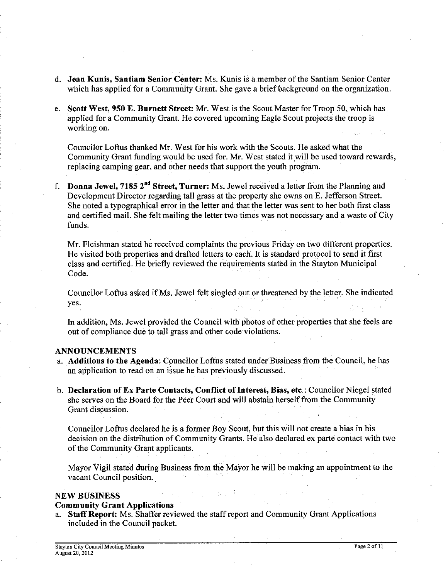- d. **Jean Kunis, Santiam Senior Center:** Ms. Kunis is a member of the Santiam Senior Center which has applied for a Community Grant. She gave a brief background on the organization.
- e. **Scott West,** 950 **E. Burnett Street:** Mr. West is the Scout Master for Troop 50, which has applied for a Community Grant. He covered upcoming Eagle Scout projects the troop is working on.

Councilor Loftus thanked Mr. West for his work with the Scouts. He asked what the Community Grant funding would be used for. Mr. West stated it will be used toward rewards, replacing camping gear, and other needs that support the youth program.

f. **Donna Jewel, 7185 2"d Street, Turner:** Ms. Jewel received a letter from the Planning and Development Director regarding tall grass at the property she owns on E. Jefferson Street. She noted a typographical error in the letter and that the letter was sent to her both first class and certified mail. She felt mailing the letter two times was not necessary and a waste of City funds.

Mr. Fleishman stated he received complaints the previous Friday on two different properties. He visited both properties and drafted letters to each. It is standard protocol to send it first class and certified. He briefly reviewed the requirements stated in the Stayton Municipal Code.

Councilor Loftus asked if Ms. Jewel felt singled out or threatened by the letter. She indicated yes.

In addition, Ms. Jewel provided the Council with photos of other properties that she feels are out of compliance due to tall grass and other code violations.

#### **ANNOUNCEMENTS**

- a. **Additions to the Agenda:** Councilor Loftus stated under Business from the Council, he has an application to read on an issue he has previously discussed.
- b. **Declaration of** Ex **Parte Contacts, Conflict of Interest, Bias, etc.:** Councilor Niegel stated she serves on the Board for the Peer Court and will abstain herself from the Community Grant discussion.

Councilor Loftus declared he is a former Boy Scout, but this will not create a bias in his decision on the distribution of Community Grants. He also declared ex parte contact with two of the Community Grant applicants.

Mayor Vigil stated during Business from the Mayor he will be making an appointment to the vacant Council position.

# **NEW BUSINESS**

#### **Community Grant Applications**

a. **Staff Report:** Ms. Shaffer reviewed the staff report and Community Grant Applications included in the Council packet.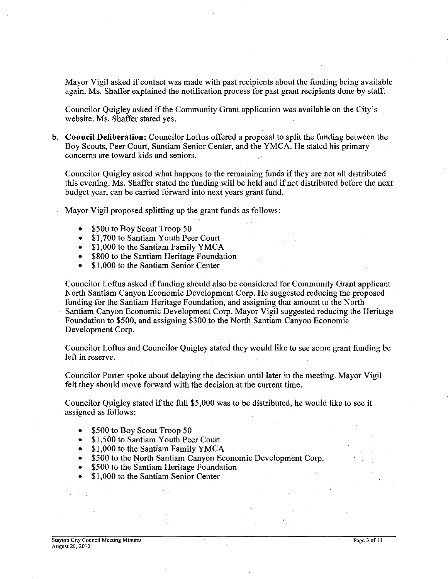Mayor Vigil asked if contact was made with past recipients about the funding being available again. Ms. Shaffer explained the notification process for past grant recipients done by staff.

Councilor Quigley asked if the Community Grant application was available on the City's website. Ms. Shaffer stated yes.

b. **Council Deliberation:** Councilor Loftus offered a proposal to split the funding between the Boy Scouts, Peer Court, Santiam Senior Center, and the YMCA. He stated his primary concerns are toward kids and seniors.

Councilor Quigley asked what happens to the remaining funds if they are not all distributed this evening. Ms. Shaffer stated the funding will be held and if not distributed before the next budget year, can be carried forward into next years grant fund.

Mayor Vigil proposed splitting up the grant funds as follows:

- \$500 to Boy Scout Troop 50
- \$1,700 to Santiam Youth Peer Court  $\bullet$
- \$1,000 to the Santiam Family YMCA
- \$800 to the Santiam Heritage Foundation
- \$1,000 to the Santiam Senior Center

Councilor Loftus asked if funding should also be considered for Community Grant applicant North Santiam Canyon Economic Development Corp. He suggested reducing the proposed funding for the Santiam Heritage Foundation, and assigning that amount to the North Santiam Canyon Economic Development Corp. Mayor Vigil suggested reducing the Heritage Foundation to \$500, and assigning \$300 to the North Santiam Canyon Economic Development Corp.

Councilor Loftus and Councilor Quigley stated they would like to see some grant funding be left in reserve.

Councilor Porter spoke about delaying the decision until later in the meeting. Mayor Vigil felt they should move forward with the decision at the current time.

Councilor Quigley stated if the full \$5,000 was to be distributed, he would like to see it assigned as follows:

- \$500 to Boy Scout Troop 50  $\bullet$
- \$1,500 to Santiam Youth Peer Court  $\bullet$
- \$1,000 to the Santiam Family YMCA  $\bullet$
- \$500 to the North Santiam Canyon Economic Development Corp.
- \$500 to the Santiam Heritage Foundation
- \$1,000 to the Santiam Senior Center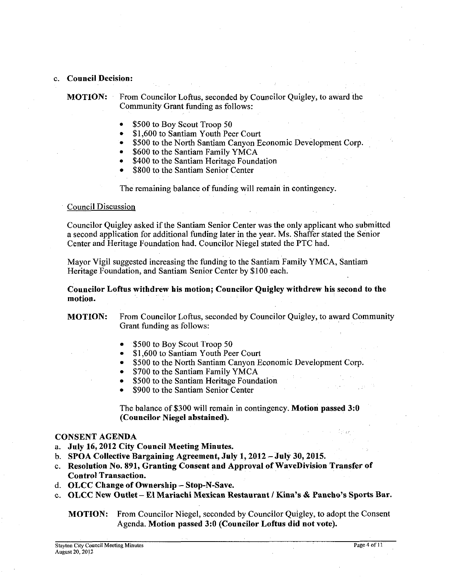#### c. **Council Decision:**

**MOTION:** From Councilor Loftus, seconded by Councilor Quigley, to award the Community Grant funding as follows:

- \$500 to Boy Scout Troop 50
- \$1,600 to Santiam Youth Peer Court
- \$500 to the North Santiam Canyon Economic Development Cop.  $\bullet$
- \$600 to the Santiam Family YMCA
- \$400 to the Santiam Heritage Foundation
- \$800 to the Santiam Senior Center

The remaining balance of funding will remain in contingency

#### Council Discussion

Councilor Quigley asked if the Santiam Senior Center was the only applicant who submitted a second application for additional funding later in the year. Ms. Shaffer stated the Senior Center and Heritage Foundation had. Councilor Niegel stated the PTC had.

Mayor Vigil suggested increasing the funding to the Santiam Family YMCA, Santiam Heritage Foundation, and Santiam Senior Center by \$100 each.

**Councilor Loftus withdrew his motion; Councilor Quigley withdrew his second to the motion.** 

**MOTION:** From Councilor Loftus, seconded by Councilor Quigley, to award Community Grant funding as follows:

- \$500 to Boy Scout Troop 50
- \$1,600 to Santiam Youth Peer Court
- \$500 to the North Santiam Canyon Economic Development Corp.
- \$700 to the Santiam Family YMCA  $\bullet$
- \$500 to the Santiam Heritage Foundation
- \$900 to the Santiam Senior Center

The balance of \$300 will remain in contingency. **Motion passed 3:O (Councilor Niegel abstained).** 

# **CONSENT AGENDA**

- a. **July 16,2012 City Council Meeting Minutes.**
- b. **SPOA Collective Bargaining Agreement, July 1,2012 -July 30,2015.**
- c. **Resolution No. 891, Granting Consent and Approval of WaveDivision Transfer of Control Transaction.**
- d. **OLCC Change of Ownership Stop-N-Save.**
- e. **OLCC New Outlet El Mariachi Mexican Restaurant** 1 **Kina's** & **Paucho's Sports Bar.**

**MOTION:** From Councilor Niegel, seconded by Councilor Quigley, to adopt the Consent Agenda. **Motion passed 3:O (Councilor Loftus did not vote).**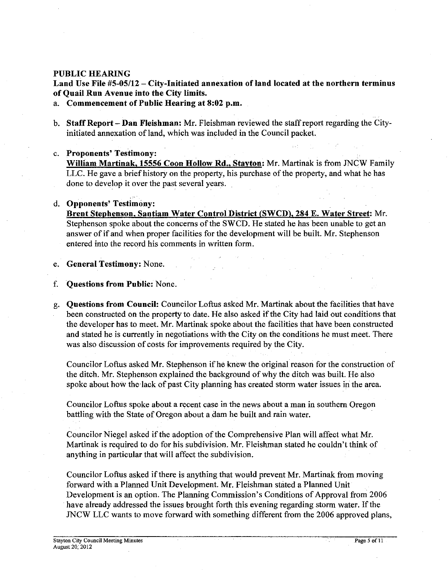# **PUBLIC HEARING**

Land Use File #5-05/12 – City-Initiated annexation of land located at the northern terminus **of Quail Run Avenue into the City limits.** 

a. **Commencement of Public Hearing at 8:02 p.m.** 

- b. **Staff Report Dan Fleishman:** Mr. Fleishman reviewed the staff report regarding the Cityinitiated annexation of land, which was included in the Council packet.
- *c.* **Proponents' Testimony:**

**William Martinak. 15556 Coon Hollow Rd.. Stavton:** Mr. Martinak is from JNCW Family LLC. He gave a brief history on the property, his purchase of the property, and what he has done to develop it over the past several years.

# d. **Opponents' Testimony:**

Brent Stephenson, Santiam Water Control District (SWCD), 284 E. Water Street: Mr. Stephenson spoke about the concerns of the SWCD. He stated he has been unable to get an answer of if and when proper facilities for the development will be built. Mr. Stephenson entered into the record his comments in written form.

e. **General Testimony:** None.

f. **Questions from Public:** None.

g. **Questions from Council:** Councilor Loftus asked Mr. Martinak about the facilities that have been constructed on the property to date. He also asked if the City had laid out conditions that the developer has to meet. Mr. Martinak spoke about the facilities that have been constructed and stated he is currently in negotiations with the City on the conditions he must meet. There was also discussion of costs for improvements required by the City.

Councilor Loftus asked Mr. Stephenson if he knew the original reason for the construction of the ditch. Mr. Stephenson explained the background of why the ditch was built. He also spoke about how the lack of past City planning has created storm water issues in the area.

Councilor Loftus spoke about a recent case in the news about a man in southern Oregon battling with the State of Oregon about a dam he built and rain water.

Councilor Niegel asked if the adoption of the Comprehensive Plan will affect what Mr. Martinak is required to do for his subdivision. Mr. Fleishman stated he couldn't think of anything in particular that will affect the subdivision.

Councilor Loftus asked if there is anything that would prevent Mr. Martinak from moving forward with a Planned Unit Development. Mr. Fleishrnan stated a Planned Unit Development is an option. The Planning Commission's Conditions of Approval from 2006 have already addressed the issues brought forth this evening regarding storm water. If the JNCW LLC wants to move forward with something different from the 2006 approved plans,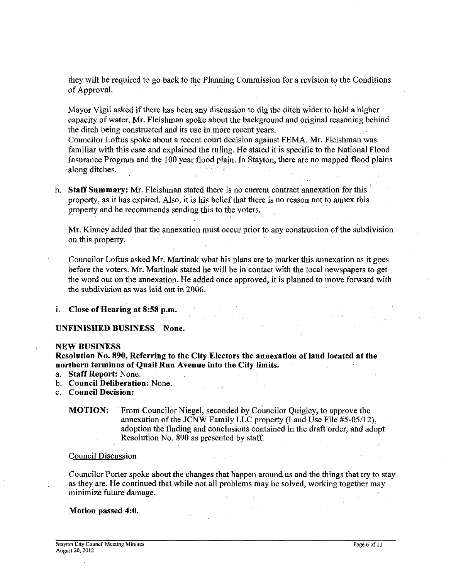they will be required to go back to the Planning Commission for a revision to the Conditions of Approval.

Mayor Vigil asked if there has been any discussion to dig the ditch wider to hold a higher capacity of water. Mr. Fleishman spoke about the background and original reasoning behind the ditch being constructed and its use in more recent years.

Councilor Lofrus spoke about a recent court decision against FEMA. Mr. Fleishman was familiar with this case and explained the ruling. He stated it is specific to the National Flood Insurance Program and the 100 year flood plain. In Stayton, there are no mapped flood plains along ditches.

h. **Staff Summary:** Mr. Fleishman stated there is no current contract annexation for this property, as it has expired. Also, it is his belief that there is no reason not to annex this property and he recommends sending this to the voters.

Mr. Kinney added that the annexation must occur prior to any construction of the subdivision on this property.

Councilor Loftus asked Mr. Martinak what his plans are to market this annexation as it goes before the voters. Mr. Martinak stated he will be in contact with the local newspapers to get the word out on the annexation. He added once approved, it is planned to move forward with the subdivision as was laid out in 2006.

i. **Close of Hearing at 8:58 p.m.** 

#### **UNFlNISHED BUSINESS -None.**

#### **NEW BUSINESS**

**Resolution No. 890, Referring to the City Electors the annexation of land located at the northern terminus of Quail Run Avenue into the City limits.** 

- a. **Staff Report:** None.
- b. **Council Deliberation:** None.
- c. **Council Decision:**

# **MOTION:** From Councilor Niegel, seconded by Councilor Ouigley, to approve the annexation of the JCNW Family LLC property (Land Use File #5-05/12), adoption the finding and conclusions contained in the drafr order, and adopt Resolution No. 890 as presented by staff.

#### Council Discussion

Councilor Porter spoke about the changes that happen around us and the things that try to stay as they are. He continued that while not all problems may be solved, working together may minimize future damage.

#### **Motion passed 4:O.**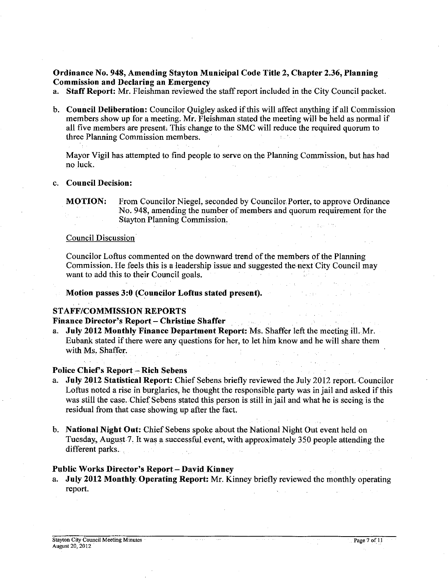# Ordinance No. 948, Amending Stayton Municipal Code Title 2, Chapter 2.36, Planning Commission and Declaring an Emergency

a. Staff Report: Mr. Fleishman reviewed the staff report included in the City Council packet.

b. Council Deliberation: Councilor Quigley asked if this will affect anything if all Commission members show up for a meeting. Mr. Fleishman stated the meeting will be held as normal if all five members are present. This change to the SMC will reduce the required quorum to three Planning Commission members.

Mayor Vigil has attempted to find people to serve on the Planning Commission, but has had no luck.

#### c. Council Decision:

# Council Discussion

Councilor Loftus commented on the downward trend of the members of the Planning Commission. He feels this is a leadership issue and suggested the next City Council may want to add this to their Council goals.

Motion passes 3:O (Councilor Loftus stated present).

#### STAFF/COMMISSION REPORTS

# Finance Director's Report - Christine Shaffer<br>a. July 2012 Monthly Finance Department Re

July 2012 Monthly Finance Department Report: Ms. Shaffer left the meeting ill. Mr. Eubank stated if there were any questions for her, to let him know and he will share them with Ms. Shaffer.

.<br>De la familie

#### Police Chief's Report - Rich Sebens

- a. July 2012 Statistical Report: Chief Sebens briefly reviewed the July 2012 report. Councilor Loftus noted a rise in burglaries, he thought the responsible party was in jail and asked if this was still the case. Chief Sebens stated this person is still in jail and what he is seeing is the residual from that case showing up after the fact.
- b. National Night Out: Chief Sebens spoke about the National Night Out event held on Tuesday, August 7. It was a successful event, with approximately 350 people attending the different parks.

# Public Works Director's Report - David Kinney

July 2012 Monthly Operating Report: Mr. Kinney briefly reviewed the monthly operating report.

MOTION: From Councilor Niegel, seconded by Councilor Porter, to approve Ordinance No. 948, amending the number of members and quorum requirement for the Stayton Planning Commission.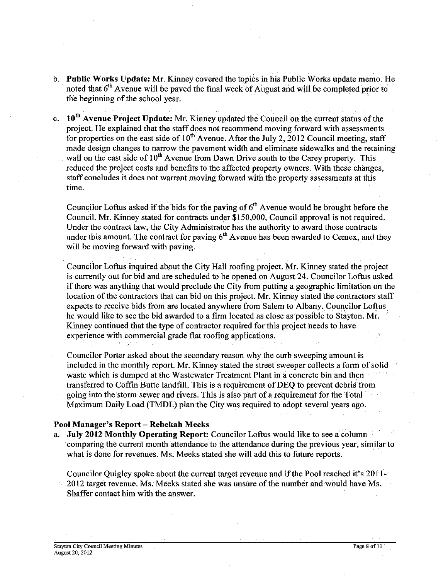- b. Public Works Update: Mr. Kinney covered the topics in his Public Works update memo. He noted that  $6<sup>th</sup>$  Avenue will be paved the final week of August and will be completed prior to the beginning of the school year.
- c. 10<sup>th</sup> Avenue Project Update: Mr. Kinney updated the Council on the current status of the project. He explained that the staff does not recommend moving forward with assessments for properties on the east side of  $10<sup>th</sup>$  Avenue. After the July 2, 2012 Council meeting, staff made design changes to narrow the pavement width and eliminate sidewalks and the retaining wall on the east side of 10<sup>th</sup> Avenue from Dawn Drive south to the Carey property. This reduced the project costs and benefits to the affected property owners. With these changes, staff concludes it does not warrant moving forward with the property assessments at this time.

Councilor Loftus asked if the bids for the paving of  $6<sup>th</sup>$  Avenue would be brought before the Council. Mr. Kinney stated for contracts under \$150,000, Council approval is not required. Under the contract law, the City Administrator has the authority to award those contracts under this amount. The contract for paving  $6<sup>th</sup>$  Avenue has been awarded to Cemex, and they will be moving forward with paving.

Councilor Loftus inquired about the City Hall roofing project. Mr. Kinney stated the project is currently out for bid and are scheduled to be opened on August 24. Councilor Loftus asked if there was anything that would preclude the City from putting a geographic limitation on the location of the contractors that can bid on this project. Mr. Kinney stated the contractors staff expects to receive bids from are located anywhere from Salem to Albany. Councilor Loftus he would like to see the bid awarded to a firm located as close as possible to Stayton. Mr. Kinney continued that the type of contractor required for this project needs to have experience with commercial grade flat roofing applications.

Councilor Porter asked about the secondary reason why the curb sweeping amount is included in the monthly report. Mr. Kinney stated the street sweeper collects a form of solid waste which is dumped at the Wastewater Treatment Plant in a concrete bin and then transferred to Coffin Butte landfill. This is a requirement of DEQ to prevent debris from going into the storm sewer and rivers. This is also part of a requirement for the Total Maximum Daily Load (TMDL) plan the City was required to adopt several years ago.

# Pool Manager's Report - Rebekah Meeks

**July 2012 Monthly Operating Report: Councilor Loftus would like to see a column** comparing the current month attendance to the attendance during the previous year, similar to what is done for revenues. Ms. Meeks stated she will add this to future reports.

Councilor Quigley spoke about the current target revenue and if the Pool reached it's 2011-2012 target revenue. Ms. Meeks stated she was unsure of the number and would have Ms. Shaffer contact him with the answer.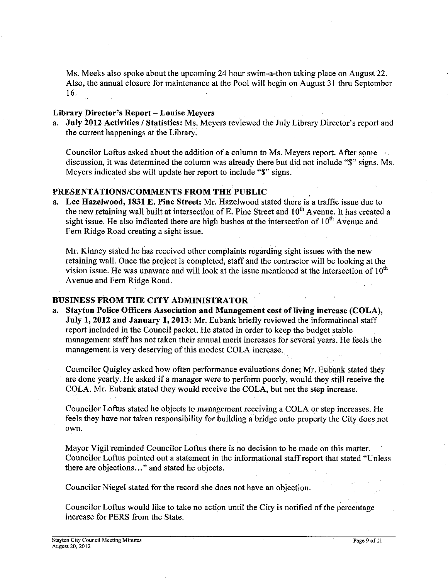Ms. Meeks also spoke about the upcoming 24 hour swim-a-thon taking place on August 22. Also, the annual closure for maintenance at the Pool will begin on August 31 thru September 16.

# **Library Director's Report** - **Louise Meyers**

a. **July 2012 Activities / Statistics:** Ms. Meyers reviewed the July Library Director's report and the current happenings at the Library.

Councilor Loftus asked about the addition of a column to Ms. Meyers report. After some discussion, it was determined the column was already there but did not include "\$" signs. Ms. Meyers indicated she will update her report to include "\$" signs.

# **PRESENTATIONSICOMMENTS FROM THE PUBLIC**

a. **Lee Hazelwood, 1831 E. Pine Street:** Mr. Hazelwood stated there is a traffic issue due to the new retaining wall built at intersection of E. Pine Street and 10" Avenue. It has created a sight issue. He also indicated there are high bushes at the intersection of  $10<sup>th</sup>$  Avenue and Fern Ridge Road creating a sight issue.

Mr. Kinney stated he has received other complaints regarding sight issues with the new retaining wall. Once the project is completed, staff and the contractor will be looking at the vision issue. He was unaware and will look at the issue mentioned at the intersection of  $10^{th}$ Avenue and Fern Ridge Road.

# **BUSINESS FROM THE CITY ADMINISTRATOR**

a. **Stayton Police Officers Association and Management cost of living increase (COLA), July 1,2012 and January 1,2013:** Mr. Eubank briefly reviewed the informational staff report included in the Council packet. He stated in order to keep the budget stable management staff has not taken their annual merit increases for several years. He feels the management is very deserving of this modest COLA increase.

Councilor Quigley asked how often performance evaluations done; Mr. Eubank stated they are done yearly. He asked if a manager were to perform poorly, would they still receive the COLA. Mr. Eubank stated they would receive the COLA, but not the step increase.

Councilor Loftus stated he objects to management receiving a COLA or step increases. He feels they have not taken responsibility for building a bridge onto property the City does not own.

Mayor Vigil reminded Councilor Loftus there is no decision to be made on this matter. Councilor Loftus pointed out a statement in the informational staff report that stated "Unless there are objections ..." and stated he objects.

Councilor Niegel stated for the record she does not have an objection.

Councilor Loftus would like to take no action until the City is notified of the percentage increase for PERS from the State.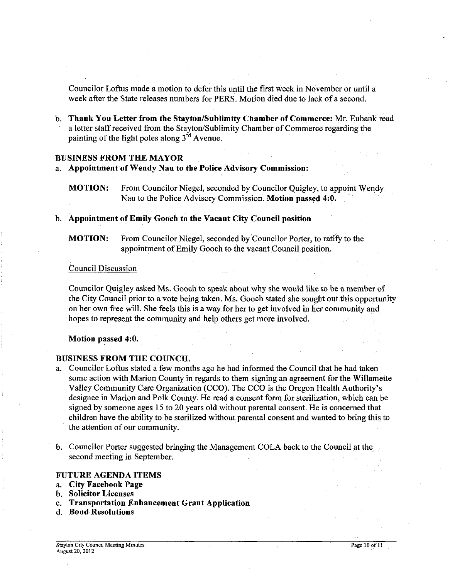Councilor Loftus made a motion to defer this until the first week in November or until a week after the State releases numbers for PERS. Motion died due to lack of a second.

b. **Thank You Letter from the Stayton/Sublimity Chamber of Commerce:** Mr. Eubank read a letter staff received from the Stayton/Sublimity Chamber of Commerce regarding the painting of the light poles along **3'\*** Avenue.

#### **BUSINESS FROM THE MAYOR**

- a. **Appointment of Wendy Nau to the Police Advisory Commission:** 
	- **MOTION:** From Councilor Niegel, seconded by Councilor Quigley, to appoint Wendy Nau to the Police Advisory Commission. **Motion passed 4:O.**
- b. **Appointment of Emily Gooch to the Vacant City Council position**

**MOTION:** From Councilor Niegel, seconded by Councilor Porter, to ratify to the appointment of Emily Gooch to the vacant Council position.

#### Council Discussion

Councilor Quigley asked Ms. Gooch to speak about why she would like to be a member of the City Council prior to a vote being taken. Ms. Gooch stated she sought out this opportunity on her own free will. She feels this is **a** way for her to get involved in her community and hopes to represent the community and help others get more involved.

**Motion passed 4:O.** 

### **BUSINESS FROM THE COUNCIL**

- a. Councilor Loftus stated a few months ago he had informed the Council that he had taken some action with Marion County in regards to them signing an agreement for the Willamette Valley Community Care Organization (CCO). The CCO is the Oregon Health Authority's designee in Marion and Polk County. He read a consent form for sterilization, which can be signed by someone ages 15 to 20 years old without parental consent. He is concerned that children have the ability to be sterilized without parental consent and wanted to bring this to the attention of our community.
- b. Councilor Porter suggested bringing the Management COLA back to the Council at the second meeting in September.

#### **FUTURE AGENDA ITEMS**

- a. **City Facebook Page**
- b. **Solicitor Licenses**
- c. **Transportation Enhancement Grant Application**
- d. **Bond Resolutions**